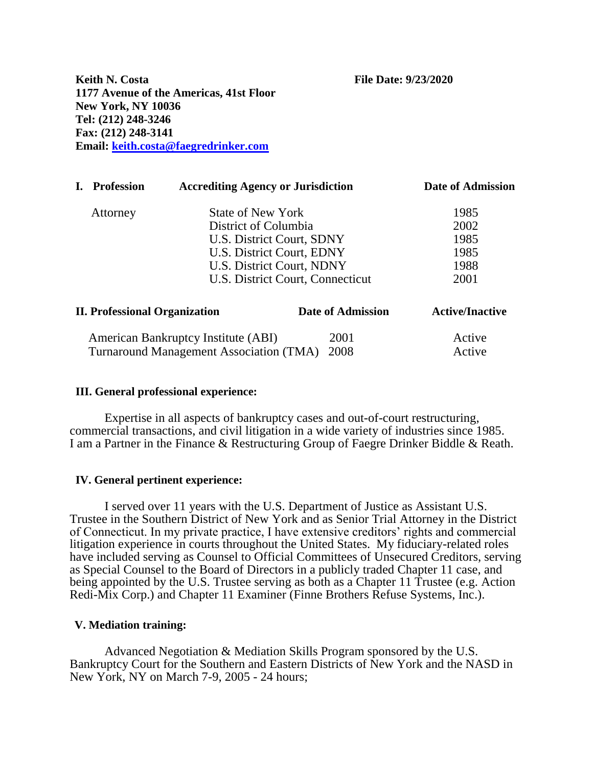**Keith N. Costa File Date: 9/23/2020 1177 Avenue of the Americas, 41st Floor New York, NY 10036 Tel: (212) 248-3246 Fax: (212) 248-3141 Email: [keith.costa@faegredrinker.com](mailto:keith.costa@faegredrinker.com)**

|                                                                                                       | <b>Profession</b><br><b>Accrediting Agency or Jurisdiction</b> |                                                  | <b>Date of Admission</b>  |        |
|-------------------------------------------------------------------------------------------------------|----------------------------------------------------------------|--------------------------------------------------|---------------------------|--------|
|                                                                                                       | Attorney                                                       | <b>State of New York</b><br>District of Columbia |                           | 1985   |
|                                                                                                       |                                                                |                                                  |                           | 2002   |
|                                                                                                       |                                                                | U.S. District Court, SDNY                        |                           | 1985   |
|                                                                                                       |                                                                | U.S. District Court, EDNY                        |                           | 1985   |
|                                                                                                       |                                                                |                                                  | U.S. District Court, NDNY |        |
|                                                                                                       |                                                                | U.S. District Court, Connecticut                 |                           | 2001   |
| <b>II. Professional Organization</b><br><b>Date of Admission</b>                                      |                                                                |                                                  | <b>Active/Inactive</b>    |        |
| American Bankruptcy Institute (ABI)<br>2001<br>2008<br><b>Turnaround Management Association (TMA)</b> |                                                                |                                                  |                           | Active |
|                                                                                                       |                                                                |                                                  |                           | Active |

## **III. General professional experience:**

Expertise in all aspects of bankruptcy cases and out-of-court restructuring, commercial transactions, and civil litigation in a wide variety of industries since 1985. I am a Partner in the Finance & Restructuring Group of Faegre Drinker Biddle & Reath.

## **IV. General pertinent experience:**

I served over 11 years with the U.S. Department of Justice as Assistant U.S. Trustee in the Southern District of New York and as Senior Trial Attorney in the District of Connecticut. In my private practice, I have extensive creditors' rights and commercial litigation experience in courts throughout the United States. My fiduciary-related roles have included serving as Counsel to Official Committees of Unsecured Creditors, serving as Special Counsel to the Board of Directors in a publicly traded Chapter 11 case, and being appointed by the U.S. Trustee serving as both as a Chapter 11 Trustee (e.g. Action Redi-Mix Corp.) and Chapter 11 Examiner (Finne Brothers Refuse Systems, Inc.).

## **V. Mediation training:**

Advanced Negotiation & Mediation Skills Program sponsored by the U.S. Bankruptcy Court for the Southern and Eastern Districts of New York and the NASD in New York, NY on March 7-9, 2005 - 24 hours;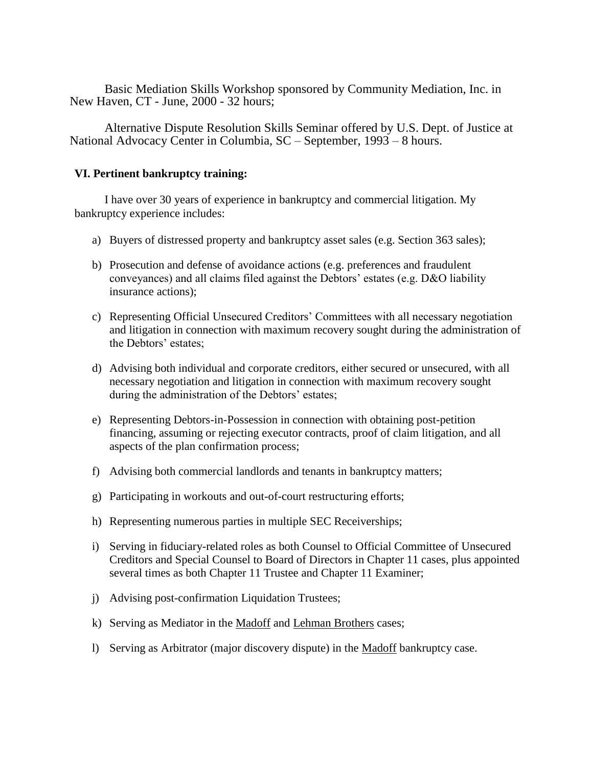Basic Mediation Skills Workshop sponsored by Community Mediation, Inc. in New Haven, CT - June, 2000 - 32 hours;

Alternative Dispute Resolution Skills Seminar offered by U.S. Dept. of Justice at National Advocacy Center in Columbia, SC – September, 1993 – 8 hours.

# **VI. Pertinent bankruptcy training:**

I have over 30 years of experience in bankruptcy and commercial litigation. My bankruptcy experience includes:

- a) Buyers of distressed property and bankruptcy asset sales (e.g. Section 363 sales);
- b) Prosecution and defense of avoidance actions (e.g. preferences and fraudulent conveyances) and all claims filed against the Debtors' estates (e.g. D&O liability insurance actions);
- c) Representing Official Unsecured Creditors' Committees with all necessary negotiation and litigation in connection with maximum recovery sought during the administration of the Debtors' estates;
- d) Advising both individual and corporate creditors, either secured or unsecured, with all necessary negotiation and litigation in connection with maximum recovery sought during the administration of the Debtors' estates;
- e) Representing Debtors-in-Possession in connection with obtaining post-petition financing, assuming or rejecting executor contracts, proof of claim litigation, and all aspects of the plan confirmation process;
- f) Advising both commercial landlords and tenants in bankruptcy matters;
- g) Participating in workouts and out-of-court restructuring efforts;
- h) Representing numerous parties in multiple SEC Receiverships;
- i) Serving in fiduciary-related roles as both Counsel to Official Committee of Unsecured Creditors and Special Counsel to Board of Directors in Chapter 11 cases, plus appointed several times as both Chapter 11 Trustee and Chapter 11 Examiner;
- j) Advising post-confirmation Liquidation Trustees;
- k) Serving as Mediator in the Madoff and Lehman Brothers cases;
- l) Serving as Arbitrator (major discovery dispute) in the Madoff bankruptcy case.